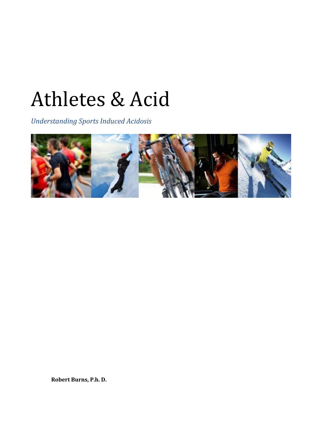# Athletes & Acid

*Understanding Sports Induced Acidosis*



**Robert Burns, P.h. D.**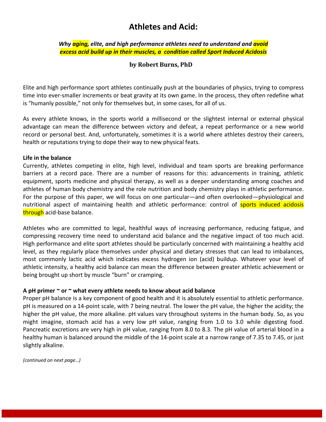# **Athletes and Acid:**

*Why aging, elite, and high performance athletes need to understand and avoid excess acid build up in their muscles, a condition called Sport Induced Acidosis*

# **by Robert Burns, PhD**

Elite and high performance sport athletes continually push at the boundaries of physics, trying to compress time into ever-smaller increments or beat gravity at its own game. In the process, they often redefine what is "humanly possible," not only for themselves but, in some cases, for all of us.

As every athlete knows, in the sports world a millisecond or the slightest internal or external physical advantage can mean the difference between victory and defeat, a repeat performance or a new world record or personal best. And, unfortunately, sometimes it is a world where athletes destroy their careers, health or reputations trying to dope their way to new physical feats.

#### **Life in the balance**

Currently, athletes competing in elite, high level, individual and team sports are breaking performance barriers at a record pace. There are a number of reasons for this: advancements in training, athletic equipment, sports medicine and physical therapy, as well as a deeper understanding among coaches and athletes of human body chemistry and the role nutrition and body chemistry plays in athletic performance. For the purpose of this paper, we will focus on one particular—and often overlooked—physiological and nutritional aspect of maintaining health and athletic performance: control of sports induced acidosis through acid-base balance.

Athletes who are committed to legal, healthful ways of increasing performance, reducing fatigue, and compressing recovery time need to understand acid balance and the negative impact of too much acid. High performance and elite sport athletes should be particularly concerned with maintaining a healthy acid level, as they regularly place themselves under physical and dietary stresses that can lead to imbalances, most commonly lactic acid which indicates excess hydrogen ion (acid) buildup. Whatever your level of athletic intensity, a healthy acid balance can mean the difference between greater athletic achievement or being brought up short by muscle "burn" or cramping.

## **A pH primer ~ or ~ what every athlete needs to know about acid balance**

Proper pH balance is a key component of good health and it is absolutely essential to athletic performance. pH is measured on a 14-point scale, with 7 being neutral. The lower the pH value, the higher the acidity; the higher the pH value, the more alkaline. pH values vary throughout systems in the human body. So, as you might imagine, stomach acid has a very low pH value, ranging from 1.0 to 3.0 while digesting food. Pancreatic excretions are very high in pH value, ranging from 8.0 to 8.3. The pH value of arterial blood in a healthy human is balanced around the middle of the 14-point scale at a narrow range of 7.35 to 7.45, or just slightly alkaline.

*(continued on next page…)*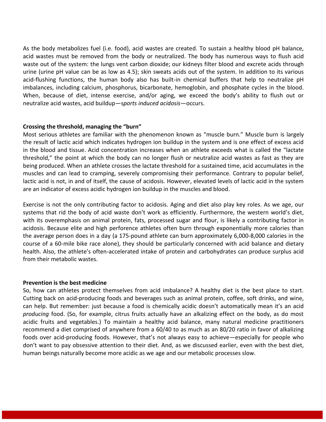As the body metabolizes fuel (i.e. food), acid wastes are created. To sustain a healthy blood pH balance, acid wastes must be removed from the body or neutralized. The body has numerous ways to flush acid waste out of the system: the lungs vent carbon dioxide; our kidneys filter blood and excrete acids through urine (urine pH value can be as low as 4.5); skin sweats acids out of the system. In addition to its various acid-flushing functions, the human body also has built-in chemical buffers that help to neutralize pH imbalances, including calcium, phosphorus, bicarbonate, hemoglobin, and phosphate cycles in the blood. When, because of diet, intense exercise, and/or aging, we exceed the body's ability to flush out or neutralize acid wastes, acid buildup—s*ports induced acidosis*—occurs.

## **Crossing the threshold, managing the "burn"**

Most serious athletes are familiar with the phenomenon known as "muscle burn." Muscle burn is largely the result of lactic acid which indicates hydrogen ion buildup in the system and is one effect of excess acid in the blood and tissue. Acid concentration increases when an athlete exceeds what is called the "lactate threshold," the point at which the body can no longer flush or neutralize acid wastes as fast as they are being produced. When an athlete crosses the lactate threshold for a sustained time, acid accumulates in the muscles and can lead to cramping, severely compromising their performance. Contrary to popular belief, lactic acid is not, in and of itself, the cause of acidosis. However, elevated levels of lactic acid in the system are an indicator of excess acidic hydrogen ion buildup in the muscles and blood.

Exercise is not the only contributing factor to acidosis. Aging and diet also play key roles. As we age, our systems that rid the body of acid waste don't work as efficiently. Furthermore, the western world's diet, with its overemphasis on animal protein, fats, processed sugar and flour, is likely a contributing factor in acidosis. Because elite and high perforence athletes often burn through exponentially more calories than the average person does in a day (a 175-pound athlete can burn approximately 6,000-8,000 calories in the course of a 60-mile bike race alone), they should be particularly concerned with acid balance and dietary health. Also, the athlete's often-accelerated intake of protein and carbohydrates can produce surplus acid from their metabolic wastes.

#### **Prevention is the best medicine**

So, how can athletes protect themselves from acid imbalance? A healthy diet is the best place to start. Cutting back on acid-producing foods and beverages such as animal protein, coffee, soft drinks, and wine, can help. But remember: just because a food is chemically acidic doesn't automatically mean it's an acid *producing* food. (So, for example, citrus fruits actually have an alkalizing effect on the body, as do most acidic fruits and vegetables.) To maintain a healthy acid balance, many natural medicine practitioners recommend a diet comprised of anywhere from a 60/40 to as much as an 80/20 ratio in favor of alkalizing foods over acid-producing foods. However, that's not always easy to achieve—especially for people who don't want to pay obsessive attention to their diet. And, as we discussed earlier, even with the best diet, human beings naturally become more acidic as we age and our metabolic processes slow.